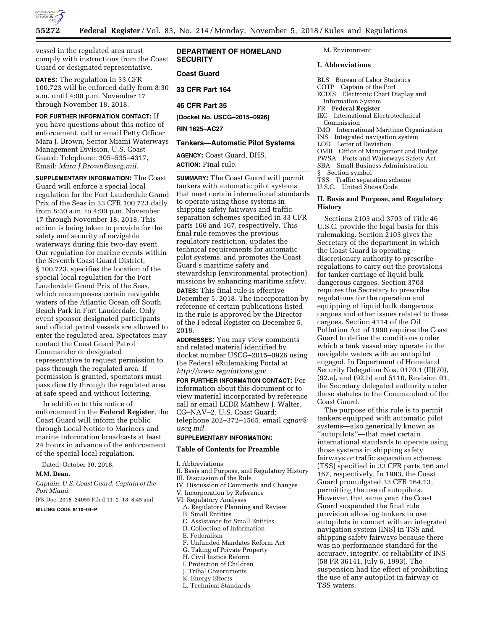

vessel in the regulated area must comply with instructions from the Coast Guard or designated representative.

**DATES:** The regulation in 33 CFR 100.723 will be enforced daily from 8:30 a.m. until 4:00 p.m. November 17 through November 18, 2018.

**FOR FURTHER INFORMATION CONTACT:** If you have questions about this notice of enforcement, call or email Petty Officer Mara J. Brown, Sector Miami Waterways Management Division, U.S. Coast Guard: Telephone: 305–535–4317, Email: *[Mara.J.Brown@uscg.mil](mailto:Mara.J.Brown@uscg.mil)*.

**SUPPLEMENTARY INFORMATION:** The Coast Guard will enforce a special local regulation for the Fort Lauderdale Grand Prix of the Seas in 33 CFR 100.723 daily from 8:30 a.m. to 4:00 p.m. November 17 through November 18, 2018. This action is being taken to provide for the safety and security of navigable waterways during this two-day event. Our regulation for marine events within the Seventh Coast Guard District, § 100.723, specifies the location of the special local regulation for the Fort Lauderdale Grand Prix of the Seas, which encompasses certain navigable waters of the Atlantic Ocean off South Beach Park in Fort Lauderdale. Only event sponsor designated participants and official patrol vessels are allowed to enter the regulated area. Spectators may contact the Coast Guard Patrol Commander or designated representative to request permission to pass through the regulated area. If permission is granted, spectators must pass directly through the regulated area at safe speed and without loitering.

In addition to this notice of enforcement in the **Federal Register**, the Coast Guard will inform the public through Local Notice to Mariners and marine information broadcasts at least 24 hours in advance of the enforcement of the special local regulation.

Dated: October 30, 2018.

#### **M.M. Dean,**

*Captain, U.S. Coast Guard, Captain of the Port Miami.* 

[FR Doc. 2018–24055 Filed 11–2–18; 8:45 am]

#### **BILLING CODE 9110–04–P**

**DEPARTMENT OF HOMELAND SECURITY** 

### **Coast Guard**

**33 CFR Part 164** 

**46 CFR Part 35** 

**[Docket No. USCG–2015–0926] RIN 1625–AC27** 

#### **Tankers—Automatic Pilot Systems**

**AGENCY:** Coast Guard, DHS. **ACTION:** Final rule.

**SUMMARY:** The Coast Guard will permit tankers with automatic pilot systems that meet certain international standards to operate using those systems in shipping safety fairways and traffic separation schemes specified in 33 CFR parts 166 and 167, respectively. This final rule removes the previous regulatory restriction, updates the technical requirements for automatic pilot systems, and promotes the Coast Guard's maritime safety and stewardship (environmental protection) missions by enhancing maritime safety.

**DATES:** This final rule is effective December 5, 2018. The incorporation by reference of certain publications listed in the rule is approved by the Director of the Federal Register on December 5, 2018.

**ADDRESSES:** You may view comments and related material identified by docket number USCG–2015–0926 using the Federal eRulemaking Portal at *[http://www.regulations.gov.](http://www.regulations.gov)* 

**FOR FURTHER INFORMATION CONTACT:** For information about this document or to view material incorporated by reference call or email LCDR Matthew J. Walter, CG–NAV–2, U.S. Coast Guard; telephone 202–372–1565, email *[cgnav@](mailto:cgnav@uscg.mil) [uscg.mil.](mailto:cgnav@uscg.mil)* 

# **SUPPLEMENTARY INFORMATION:**

#### **Table of Contents for Preamble**

I. Abbreviations

- II. Basis and Purpose, and Regulatory History
- III. Discussion of the Rule
- IV. Discussion of Comments and Changes
- V. Incorporation by Reference
- VI. Regulatory Analyses
- A. Regulatory Planning and Review
- B. Small Entities
- C. Assistance for Small Entities
- D. Collection of Information
- E. Federalism
- F. Unfunded Mandates Reform Act
- G. Taking of Private Property
- H. Civil Justice Reform
- I. Protection of Children
- J. Tribal Governments
- K. Energy Effects
- L. Technical Standards

M. Environment

#### **I. Abbreviations**

- BLS Bureau of Labor Statistics COTP Captain of the Port ECDIS Electronic Chart Display and Information System FR **Federal Register**  IEC International Electrotechnical Commission IMO International Maritime Organization INS Integrated navigation system LOD Letter of Deviation OMB Office of Management and Budget PWSA Ports and Waterways Safety Act SBA Small Business Administration § Section symbol TSS Traffic separation scheme
- U.S.C. United States Code

## **II. Basis and Purpose, and Regulatory History**

Sections 2103 and 3703 of Title 46 U.S.C. provide the legal basis for this rulemaking. Section 2103 gives the Secretary of the department in which the Coast Guard is operating discretionary authority to prescribe regulations to carry out the provisions for tanker carriage of liquid bulk dangerous cargoes. Section 3703 requires the Secretary to prescribe regulations for the operation and equipping of liquid bulk dangerous cargoes and other issues related to these cargoes. Section 4114 of the Oil Pollution Act of 1990 requires the Coast Guard to define the conditions under which a tank vessel may operate in the navigable waters with an autopilot engaged. In Department of Homeland Security Delegation Nos. 0170.1 (II)(70), (92.a), and (92.b) and 5110, Revision 01, the Secretary delegated authority under these statutes to the Commandant of the Coast Guard.

The purpose of this rule is to permit tankers equipped with automatic pilot systems—also generically known as ''autopilots''—that meet certain international standards to operate using those systems in shipping safety fairways or traffic separation schemes (TSS) specified in 33 CFR parts 166 and 167, respectively. In 1993, the Coast Guard promulgated 33 CFR 164.13, permitting the use of autopilots. However, that same year, the Coast Guard suspended the final rule provision allowing tankers to use autopilots in concert with an integrated navigation system (INS) in TSS and shipping safety fairways because there was no performance standard for the accuracy, integrity, or reliability of INS (58 FR 36141, July 6, 1993). The suspension had the effect of prohibiting the use of any autopilot in fairway or TSS waters.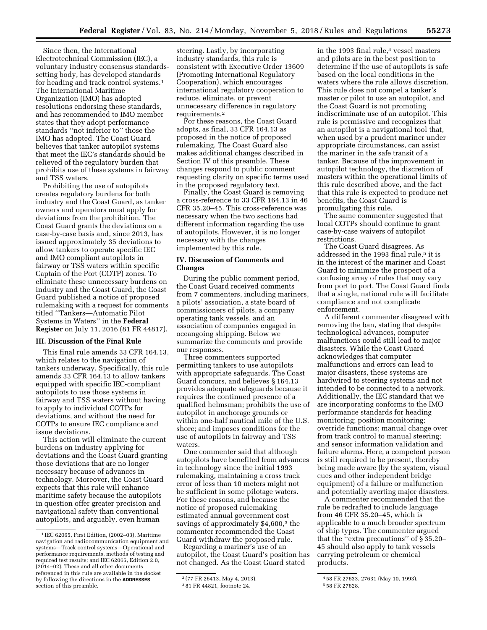Since then, the International Electrotechnical Commission (IEC), a voluntary industry consensus standardssetting body, has developed standards for heading and track control systems.1 The International Maritime Organization (IMO) has adopted resolutions endorsing these standards, and has recommended to IMO member states that they adopt performance standards ''not inferior to'' those the IMO has adopted. The Coast Guard believes that tanker autopilot systems that meet the IEC's standards should be relieved of the regulatory burden that prohibits use of these systems in fairway and TSS waters.

Prohibiting the use of autopilots creates regulatory burdens for both industry and the Coast Guard, as tanker owners and operators must apply for deviations from the prohibition. The Coast Guard grants the deviations on a case-by-case basis and, since 2013, has issued approximately 35 deviations to allow tankers to operate specific IEC and IMO compliant autopilots in fairway or TSS waters within specific Captain of the Port (COTP) zones. To eliminate these unnecessary burdens on industry and the Coast Guard, the Coast Guard published a notice of proposed rulemaking with a request for comments titled ''Tankers—Automatic Pilot Systems in Waters'' in the **Federal Register** on July 11, 2016 (81 FR 44817).

## **III. Discussion of the Final Rule**

This final rule amends 33 CFR 164.13, which relates to the navigation of tankers underway. Specifically, this rule amends 33 CFR 164.13 to allow tankers equipped with specific IEC-compliant autopilots to use those systems in fairway and TSS waters without having to apply to individual COTPs for deviations, and without the need for COTPs to ensure IEC compliance and issue deviations.

This action will eliminate the current burdens on industry applying for deviations and the Coast Guard granting those deviations that are no longer necessary because of advances in technology. Moreover, the Coast Guard expects that this rule will enhance maritime safety because the autopilots in question offer greater precision and navigational safety than conventional autopilots, and arguably, even human

steering. Lastly, by incorporating industry standards, this rule is consistent with Executive Order 13609 (Promoting International Regulatory Cooperation), which encourages international regulatory cooperation to reduce, eliminate, or prevent unnecessary difference in regulatory requirements.2

For these reasons, the Coast Guard adopts, as final, 33 CFR 164.13 as proposed in the notice of proposed rulemaking. The Coast Guard also makes additional changes described in Section IV of this preamble. These changes respond to public comment requesting clarity on specific terms used in the proposed regulatory text.

Finally, the Coast Guard is removing a cross-reference to 33 CFR 164.13 in 46 CFR 35.20–45. This cross-reference was necessary when the two sections had different information regarding the use of autopilots. However, it is no longer necessary with the changes implemented by this rule.

## **IV. Discussion of Comments and Changes**

During the public comment period, the Coast Guard received comments from 7 commenters, including mariners, a pilots' association, a state board of commissioners of pilots, a company operating tank vessels, and an association of companies engaged in oceangoing shipping. Below we summarize the comments and provide our responses.

Three commenters supported permitting tankers to use autopilots with appropriate safeguards. The Coast Guard concurs, and believes § 164.13 provides adequate safeguards because it requires the continued presence of a qualified helmsman; prohibits the use of autopilot in anchorage grounds or within one-half nautical mile of the U.S. shore; and imposes conditions for the use of autopilots in fairway and TSS waters.

One commenter said that although autopilots have benefited from advances in technology since the initial 1993 rulemaking, maintaining a cross track error of less than 10 meters might not be sufficient in some pilotage waters. For these reasons, and because the notice of proposed rulemaking estimated annual government cost savings of approximately \$4,600,3 the commenter recommended the Coast Guard withdraw the proposed rule.

Regarding a mariner's use of an autopilot, the Coast Guard's position has not changed. As the Coast Guard stated

in the 1993 final rule,<sup>4</sup> vessel masters and pilots are in the best position to determine if the use of autopilots is safe based on the local conditions in the waters where the rule allows discretion. This rule does not compel a tanker's master or pilot to use an autopilot, and the Coast Guard is not promoting indiscriminate use of an autopilot. This rule is permissive and recognizes that an autopilot is a navigational tool that, when used by a prudent mariner under appropriate circumstances, can assist the mariner in the safe transit of a tanker. Because of the improvement in autopilot technology, the discretion of masters within the operational limits of this rule described above, and the fact that this rule is expected to produce net benefits, the Coast Guard is promulgating this rule.

The same commenter suggested that local COTPs should continue to grant case-by-case waivers of autopilot restrictions.

The Coast Guard disagrees. As addressed in the 1993 final rule,<sup>5</sup> it is in the interest of the mariner and Coast Guard to minimize the prospect of a confusing array of rules that may vary from port to port. The Coast Guard finds that a single, national rule will facilitate compliance and not complicate enforcement.

A different commenter disagreed with removing the ban, stating that despite technological advances, computer malfunctions could still lead to major disasters. While the Coast Guard acknowledges that computer malfunctions and errors can lead to major disasters, these systems are hardwired to steering systems and not intended to be connected to a network. Additionally, the IEC standard that we are incorporating conforms to the IMO performance standards for heading monitoring; position monitoring; override functions; manual change over from track control to manual steering; and sensor information validation and failure alarms. Here, a competent person is still required to be present, thereby being made aware (by the system, visual cues and other independent bridge equipment) of a failure or malfunction and potentially averting major disasters.

A commenter recommended that the rule be redrafted to include language from 46 CFR 35.20–45, which is applicable to a much broader spectrum of ship types. The commenter argued that the ''extra precautions'' of § 35.20– 45 should also apply to tank vessels carrying petroleum or chemical products.

<sup>1</sup> IEC 62065, First Edition, (2002–03), Maritime navigation and radiocommunication equipment and systems—Track control systems—Operational and performance requirements, methods of testing and required test results; and IEC 62065, Edition 2.0, (2014–02). These and all other documents referenced in this rule are available in the docket by following the directions in the **ADDRESSES** section of this preamble.

<sup>2</sup> (77 FR 26413, May 4, 2013). 3 81 FR 44821, footnote 24.

<sup>4</sup> 58 FR 27633, 27631 (May 10, 1993).

<sup>5</sup> 58 FR 27628.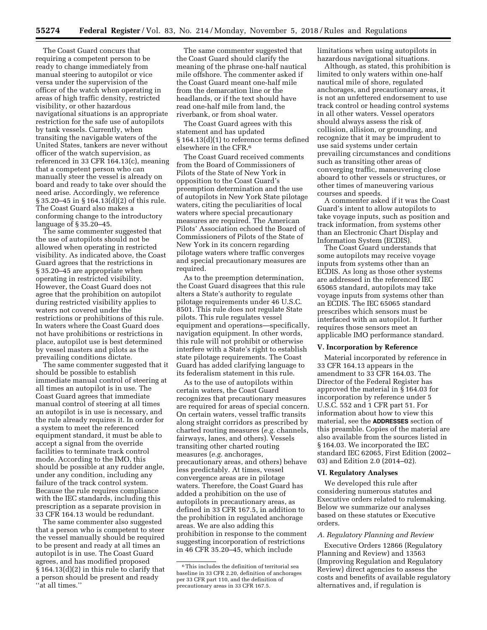The Coast Guard concurs that requiring a competent person to be ready to change immediately from manual steering to autopilot or vice versa under the supervision of the officer of the watch when operating in areas of high traffic density, restricted visibility, or other hazardous navigational situations is an appropriate restriction for the safe use of autopilots by tank vessels. Currently, when transiting the navigable waters of the United States, tankers are never without officer of the watch supervision, as referenced in 33 CFR 164.13(c), meaning that a competent person who can manually steer the vessel is already on board and ready to take over should the need arise. Accordingly, we reference § 35.20–45 in § 164.13(d)(2) of this rule. The Coast Guard also makes a conforming change to the introductory language of § 35.20–45.

The same commenter suggested that the use of autopilots should not be allowed when operating in restricted visibility. As indicated above, the Coast Guard agrees that the restrictions in § 35.20–45 are appropriate when operating in restricted visibility. However, the Coast Guard does not agree that the prohibition on autopilot during restricted visibility applies to waters not covered under the restrictions or prohibitions of this rule. In waters where the Coast Guard does not have prohibitions or restrictions in place, autopilot use is best determined by vessel masters and pilots as the prevailing conditions dictate.

The same commenter suggested that it should be possible to establish immediate manual control of steering at all times an autopilot is in use. The Coast Guard agrees that immediate manual control of steering at all times an autopilot is in use is necessary, and the rule already requires it. In order for a system to meet the referenced equipment standard, it must be able to accept a signal from the override facilities to terminate track control mode. According to the IMO, this should be possible at any rudder angle, under any condition, including any failure of the track control system. Because the rule requires compliance with the IEC standards, including this prescription as a separate provision in 33 CFR 164.13 would be redundant.

The same commenter also suggested that a person who is competent to steer the vessel manually should be required to be present and ready at all times an autopilot is in use. The Coast Guard agrees, and has modified proposed § 164.13(d)(2) in this rule to clarify that a person should be present and ready ''at all times.''

The same commenter suggested that the Coast Guard should clarify the meaning of the phrase one-half nautical mile offshore. The commenter asked if the Coast Guard meant one-half mile from the demarcation line or the headlands, or if the text should have read one-half mile from land, the riverbank, or from shoal water.

The Coast Guard agrees with this statement and has updated § 164.13(d)(1) to reference terms defined elsewhere in the CFR.6

The Coast Guard received comments from the Board of Commissioners of Pilots of the State of New York in opposition to the Coast Guard's preemption determination and the use of autopilots in New York State pilotage waters, citing the peculiarities of local waters where special precautionary measures are required. The American Pilots' Association echoed the Board of Commissioners of Pilots of the State of New York in its concern regarding pilotage waters where traffic converges and special precautionary measures are required.

As to the preemption determination, the Coast Guard disagrees that this rule alters a State's authority to regulate pilotage requirements under 46 U.S.C. 8501. This rule does not regulate State pilots. This rule regulates vessel equipment and operations—specifically, navigation equipment. In other words, this rule will not prohibit or otherwise interfere with a State's right to establish state pilotage requirements. The Coast Guard has added clarifying language to its federalism statement in this rule.

As to the use of autopilots within certain waters, the Coast Guard recognizes that precautionary measures are required for areas of special concern. On certain waters, vessel traffic transits along straight corridors as prescribed by charted routing measures (*e.g.* channels, fairways, lanes, and others). Vessels transiting other charted routing measures (*e.g.* anchorages, precautionary areas, and others) behave less predictably. At times, vessel convergence areas are in pilotage waters. Therefore, the Coast Guard has added a prohibition on the use of autopilots in precautionary areas, as defined in 33 CFR 167.5, in addition to the prohibition in regulated anchorage areas. We are also adding this prohibition in response to the comment suggesting incorporation of restrictions in 46 CFR 35.20–45, which include

limitations when using autopilots in hazardous navigational situations.

Although, as stated, this prohibition is limited to only waters within one-half nautical mile of shore, regulated anchorages, and precautionary areas, it is not an unfettered endorsement to use track control or heading control systems in all other waters. Vessel operators should always assess the risk of collision, allision, or grounding, and recognize that it may be imprudent to use said systems under certain prevailing circumstances and conditions such as transiting other areas of converging traffic, maneuvering close aboard to other vessels or structures, or other times of maneuvering various courses and speeds.

A commenter asked if it was the Coast Guard's intent to allow autopilots to take voyage inputs, such as position and track information, from systems other than an Electronic Chart Display and Information System (ECDIS).

The Coast Guard understands that some autopilots may receive voyage inputs from systems other than an ECDIS. As long as those other systems are addressed in the referenced IEC 65065 standard, autopilots may take voyage inputs from systems other than an ECDIS. The IEC 65065 standard prescribes which sensors must be interfaced with an autopilot. It further requires those sensors meet an applicable IMO performance standard.

#### **V. Incorporation by Reference**

Material incorporated by reference in 33 CFR 164.13 appears in the amendment to 33 CFR 164.03. The Director of the Federal Register has approved the material in § 164.03 for incorporation by reference under 5 U.S.C. 552 and 1 CFR part 51. For information about how to view this material, see the **ADDRESSES** section of this preamble. Copies of the material are also available from the sources listed in § 164.03. We incorporated the IEC standard IEC 62065, First Edition (2002– 03) and Edition 2.0 (2014–02).

#### **VI. Regulatory Analyses**

We developed this rule after considering numerous statutes and Executive orders related to rulemaking. Below we summarize our analyses based on these statutes or Executive orders.

### *A. Regulatory Planning and Review*

Executive Orders 12866 (Regulatory Planning and Review) and 13563 (Improving Regulation and Regulatory Review) direct agencies to assess the costs and benefits of available regulatory alternatives and, if regulation is

<sup>6</sup>This includes the definition of territorial sea baseline in 33 CFR 2.20, definition of anchorages per 33 CFR part 110, and the definition of precautionary areas in 33 CFR 167.5.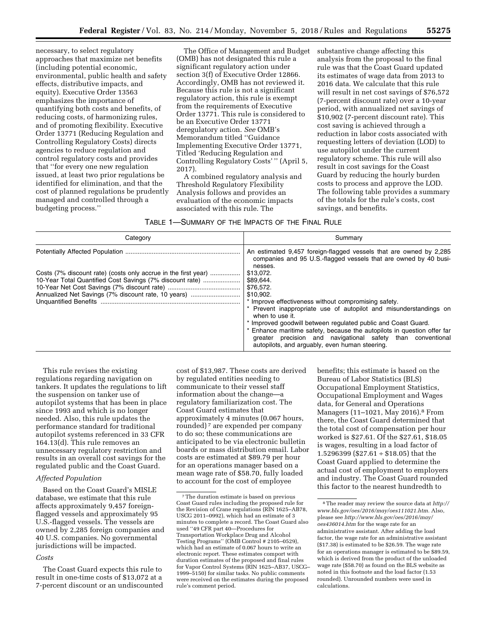necessary, to select regulatory approaches that maximize net benefits (including potential economic, environmental, public health and safety effects, distributive impacts, and equity). Executive Order 13563 emphasizes the importance of quantifying both costs and benefits, of reducing costs, of harmonizing rules, and of promoting flexibility. Executive Order 13771 (Reducing Regulation and Controlling Regulatory Costs) directs agencies to reduce regulation and control regulatory costs and provides that ''for every one new regulation issued, at least two prior regulations be identified for elimination, and that the cost of planned regulations be prudently managed and controlled through a budgeting process.''

The Office of Management and Budget (OMB) has not designated this rule a significant regulatory action under section 3(f) of Executive Order 12866. Accordingly, OMB has not reviewed it. Because this rule is not a significant regulatory action, this rule is exempt from the requirements of Executive Order 13771. This rule is considered to be an Executive Order 13771 deregulatory action. *See* OMB's Memorandum titled ''Guidance Implementing Executive Order 13771, Titled 'Reducing Regulation and Controlling Regulatory Costs' '' (April 5, 2017).

A combined regulatory analysis and Threshold Regulatory Flexibility Analysis follows and provides an evaluation of the economic impacts associated with this rule. The

substantive change affecting this analysis from the proposal to the final rule was that the Coast Guard updated its estimates of wage data from 2013 to 2016 data. We calculate that this rule will result in net cost savings of \$76,572 (7-percent discount rate) over a 10-year period, with annualized net savings of \$10,902 (7-percent discount rate). This cost saving is achieved through a reduction in labor costs associated with requesting letters of deviation (LOD) to use autopilot under the current regulatory scheme. This rule will also result in cost savings for the Coast Guard by reducing the hourly burden costs to process and approve the LOD. The following table provides a summary of the totals for the rule's costs, cost savings, and benefits.

TABLE 1—SUMMARY OF THE IMPACTS OF THE FINAL RULE

| Categorv                                                                                                                                                                          | Summary                                                                                                                                                                                                                                                                                                                                                                                                                                                              |  |  |  |
|-----------------------------------------------------------------------------------------------------------------------------------------------------------------------------------|----------------------------------------------------------------------------------------------------------------------------------------------------------------------------------------------------------------------------------------------------------------------------------------------------------------------------------------------------------------------------------------------------------------------------------------------------------------------|--|--|--|
|                                                                                                                                                                                   | An estimated 9,457 foreign-flagged vessels that are owned by 2,285<br>companies and 95 U.S.-flagged vessels that are owned by 40 busi-                                                                                                                                                                                                                                                                                                                               |  |  |  |
| Costs (7% discount rate) (costs only accrue in the first year)<br>10-Year Total Quantified Cost Savings (7% discount rate)<br>Annualized Net Savings (7% discount rate, 10 years) | nesses.<br>\$13,072.<br>\$89.644.<br>\$76.572.<br>\$10.902.<br>* Improve effectiveness without compromising safety.<br>Prevent inappropriate use of autopilot and misunderstandings on<br>when to use it.<br>* Improved goodwill between regulated public and Coast Guard.<br>Enhance maritime safety, because the autopilots in question offer far<br>greater precision and navigational safety than conventional<br>autopilots, and arguably, even human steering. |  |  |  |

This rule revises the existing regulations regarding navigation on tankers. It updates the regulations to lift the suspension on tanker use of autopilot systems that has been in place since 1993 and which is no longer needed. Also, this rule updates the performance standard for traditional autopilot systems referenced in 33 CFR 164.13(d). This rule removes an unnecessary regulatory restriction and results in an overall cost savings for the regulated public and the Coast Guard.

## *Affected Population*

Based on the Coast Guard's MISLE database, we estimate that this rule affects approximately 9,457 foreignflagged vessels and approximately 95 U.S.-flagged vessels. The vessels are owned by 2,285 foreign companies and 40 U.S. companies. No governmental jurisdictions will be impacted.

#### *Costs*

The Coast Guard expects this rule to result in one-time costs of \$13,072 at a 7-percent discount or an undiscounted

cost of \$13,987. These costs are derived by regulated entities needing to communicate to their vessel staff information about the change—a regulatory familiarization cost. The Coast Guard estimates that approximately 4 minutes (0.067 hours, rounded) 7 are expended per company to do so; these communications are anticipated to be via electronic bulletin boards or mass distribution email. Labor costs are estimated at \$89.79 per hour for an operations manager based on a mean wage rate of \$58.70, fully loaded to account for the cost of employee

benefits; this estimate is based on the Bureau of Labor Statistics (BLS) Occupational Employment Statistics, Occupational Employment and Wages data, for General and Operations Managers (11–1021, May 2016).8 From there, the Coast Guard determined that the total cost of compensation per hour worked is \$27.61. Of the \$27.61, \$18.05 is wages, resulting in a load factor of 1.5296399 (\$27.61 ÷ \$18.05) that the Coast Guard applied to determine the actual cost of employment to employers and industry. The Coast Guard rounded this factor to the nearest hundredth to

<sup>7</sup>The duration estimate is based on previous Coast Guard rules including the proposed rule for the Revision of Crane regulations (RIN 1625–AB78, USCG 2011–0992), which had an estimate of 3 minutes to complete a record. The Coast Guard also used ''49 CFR part 40—Procedures for Transportation Workplace Drug and Alcohol Testing Programs'' (OMB Control # 2105–0529), which had an estimate of 0.067 hours to write an electronic report. These estimates comport with duration estimates of the proposed and final rules for Vapor Control Systems (RIN 1625–AB37, USCG– 1999–5150) for similar tasks. No public comments were received on the estimates during the proposed rule's comment period.

<sup>8</sup>The reader may review the source data at *[http://](http://www.bls.gov/oes/2016/may/oes111021.htm)  [www.bls.gov/oes/2016/may/oes111021.htm.](http://www.bls.gov/oes/2016/may/oes111021.htm)* Also, please see *[http://www.bls.gov/oes/2016/may/](http://www.bls.gov/oes/2016/may/oes436014.htm)  [oes436014.htm](http://www.bls.gov/oes/2016/may/oes436014.htm)* for the wage rate for an administrative assistant. After adding the load factor, the wage rate for an administrative assistant (\$17.38) is estimated to be \$26.59. The wage rate for an operations manager is estimated to be \$89.59, which is derived from the product of the unloaded wage rate (\$58.70) as found on the BLS website as noted in this footnote and the load factor (1.53 rounded). Unrounded numbers were used in calculations.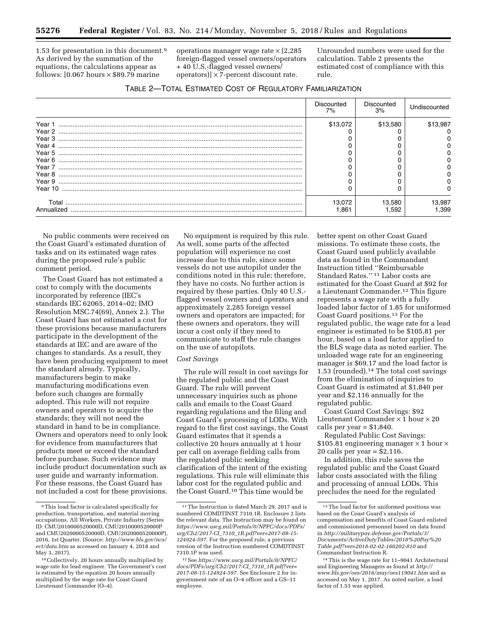1.53 for presentation in this document.9 As derived by the summation of the equations, the calculations appear as follows:  $[0.067$  hours  $\times$  \$89.79 marine

operations manager wage rate  $\times$  (2,285 foreign-flagged vessel owners/operators + 40 U.S.-flagged vessel owners/ operators)]  $\times$  7-percent discount rate.

Unrounded numbers were used for the calculation. Table 2 presents the estimated cost of compliance with this rule.

|            | Discounted<br>7% | Discounted<br>3% | Undiscounted |
|------------|------------------|------------------|--------------|
| Year 1     | \$13,072         | \$13,580         | \$13,987     |
| Year 2     |                  |                  |              |
| Year 3     |                  |                  |              |
| Year 4     |                  |                  |              |
| Year 5     |                  |                  |              |
| Year 6     |                  |                  |              |
| Year 7     |                  |                  |              |
| Year 8     |                  |                  |              |
| Year 9     |                  |                  |              |
| Year 10    |                  |                  |              |
| Total      | 13.072           | 13,580           | 13,987       |
| Annualized | ∣.861            | .592             | .399         |

No public comments were received on the Coast Guard's estimated duration of tasks and on its estimated wage rates during the proposed rule's public comment period.

The Coast Guard has not estimated a cost to comply with the documents incorporated by reference (IEC's standards IEC 62065, 2014–02; IMO Resolution MSC.74(69), Annex 2.). The Coast Guard has not estimated a cost for these provisions because manufacturers participate in the development of the standards at IEC and are aware of the changes to standards. As a result, they have been producing equipment to meet the standard already. Typically, manufacturers begin to make manufacturing modifications even before such changes are formally adopted. This rule will not require owners and operators to acquire the standards; they will not need the standard in hand to be in compliance. Owners and operators need to only look for evidence from manufacturers that products meet or exceed the standard before purchase. Such evidence may include product documentation such as user guide and warranty information. For these reasons, the Coast Guard has not included a cost for these provisions.

No equipment is required by this rule. As well, some parts of the affected population will experience no cost increase due to this rule, since some vessels do not use autopilot under the conditions noted in this rule; therefore, they have no costs. No further action is required by these parties. Only 40 U.S. flagged vessel owners and operators and approximately 2,285 foreign vessel owners and operators are impacted; for these owners and operators, they will incur a cost only if they need to communicate to staff the rule changes on the use of autopilots.

## *Cost Savings*

The rule will result in cost savings for the regulated public and the Coast Guard. The rule will prevent unnecessary inquiries such as phone calls and emails to the Coast Guard regarding regulations and the filing and Coast Guard's processing of LODs. With regard to the first cost savings, the Coast Guard estimates that it spends a collective 20 hours annually at 1 hour per call on average fielding calls from the regulated public seeking clarification of the intent of the existing regulations. This rule will eliminate this labor cost for the regulated public and the Coast Guard.10 This time would be

better spent on other Coast Guard missions. To estimate these costs, the Coast Guard used publicly available data as found in the Commandant Instruction titled ''Reimbursable Standard Rates.'' 11 Labor costs are estimated for the Coast Guard at \$92 for a Lieutenant Commander.12 This figure represents a wage rate with a fully loaded labor factor of 1.85 for uniformed Coast Guard positions.13 For the regulated public, the wage rate for a lead engineer is estimated to be \$105.81 per hour, based on a load factor applied to the BLS wage data as noted earlier. The unloaded wage rate for an engineering manager is \$69.17 and the load factor is 1.53 (rounded).14 The total cost savings from the elimination of inquiries to Coast Guard is estimated at \$1,840 per year and \$2,116 annually for the regulated public.

Coast Guard Cost Savings: \$92 Lieutenant Commander  $\times$  1 hour  $\times$  20 calls per year  $= $1,840$ .

Regulated Public Cost Savings: \$105.81 engineering manager  $\times$  1 hour  $\times$ 20 calls per year = \$2,116.

In addition, this rule saves the regulated public and the Coast Guard labor costs associated with the filing and processing of annual LODs. This precludes the need for the regulated

<sup>9</sup>This load factor is calculated specifically for production, transportation, and material moving occupations, All Workers, Private Industry (Series ID: CMU2010000520000D, CMU2010000520000P and CMU2020000520000D, CMU2020000520000P), 2016, 1st Quarter. (Source: *[http://www.bls.gov/ncs/](http://www.bls.gov/ncs/ect/data.htm) [ect/data.htm](http://www.bls.gov/ncs/ect/data.htm)* as accessed on January 4, 2018 and May 3, 2017).

<sup>10</sup>Collectively, 20 hours annually multiplied by wage rate for lead engineer. The Government's cost is estimated by the equation 20 hours annually multiplied by the wage rate for Coast Guard Lieutenant Commander (O–4).

<sup>11</sup>The Instruction is dated March 29, 2017 and is numbered COMDTINST 7310.1R. Enclosure 2 lists the relevant data. The Instruction may be found on *[https://www.uscg.mil/Portals/0/NPFC/docs/PDFs/](https://www.uscg.mil/Portals/0/NPFC/docs/PDFs/urg/Ch2/2017-CI_7310_1R.pdf?ver=2017-08-15-124924-597) urg/Ch2/2017-CI*\_*7310*\_*[1R.pdf?ver=2017-08-15-](https://www.uscg.mil/Portals/0/NPFC/docs/PDFs/urg/Ch2/2017-CI_7310_1R.pdf?ver=2017-08-15-124924-597) [124924-597.](https://www.uscg.mil/Portals/0/NPFC/docs/PDFs/urg/Ch2/2017-CI_7310_1R.pdf?ver=2017-08-15-124924-597)* For the proposed rule, a previous version of the Instruction numbered COMDTINST 7310.1P was used.

<sup>12</sup>See *[https://www.uscg.mil/Portals/0/NPFC/](https://www.uscg.mil/Portals/0/NPFC/docs/PDFs/urg/Ch2/2017-CI_7310_1R.pdf?ver=2017-08-15-124924-597)  [docs/PDFs/urg/Ch2/2017-CI](https://www.uscg.mil/Portals/0/NPFC/docs/PDFs/urg/Ch2/2017-CI_7310_1R.pdf?ver=2017-08-15-124924-597)*\_*7310*\_*1R.pdf?ver= [2017-08-15-124924-597.](https://www.uscg.mil/Portals/0/NPFC/docs/PDFs/urg/Ch2/2017-CI_7310_1R.pdf?ver=2017-08-15-124924-597)* See Enclosure 2 for ingovernment rate of an O–4 officer and a GS–11 employee.

<sup>13</sup>The load factor for uniformed positions was based on the Coast Guard's analysis of compensation and benefits of Coast Guard enlisted and commissioned personnel based on data found in *[http://militarypay.defense.gov/Portals/3/](http://militarypay.defense.gov/Portals/3/Documents/ActiveDutyTables/2018%20Pay%20Table.pdf?ver=2018-02-02-160202-810) [Documents/ActiveDutyTables/2018%20Pay%20](http://militarypay.defense.gov/Portals/3/Documents/ActiveDutyTables/2018%20Pay%20Table.pdf?ver=2018-02-02-160202-810) [Table.pdf?ver=2018-02-02-160202-810](http://militarypay.defense.gov/Portals/3/Documents/ActiveDutyTables/2018%20Pay%20Table.pdf?ver=2018-02-02-160202-810)* and Commandant Instruction R.

<sup>14</sup>This is the wage rate for 11–9041 Architectural and Engineering Managers as found at *[http://](http://www.bls.gov/oes/2016/may/oes119041.htm) [www.bls.gov/oes/2016/may/oes119041.htm](http://www.bls.gov/oes/2016/may/oes119041.htm)* and as accessed on May 1, 2017. As noted earlier, a load factor of 1.53 was applied.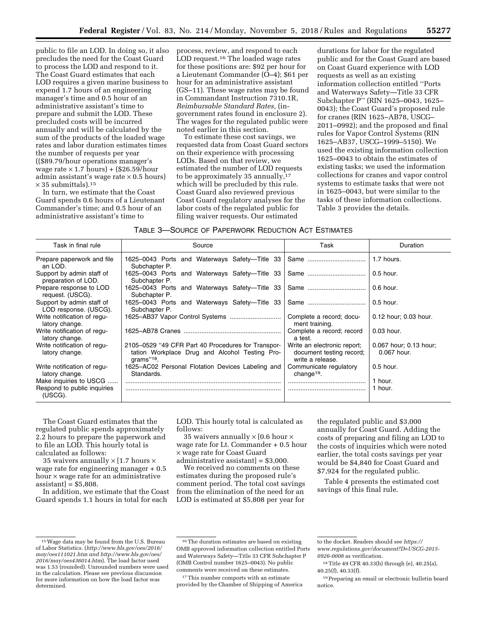public to file an LOD. In doing so, it also precludes the need for the Coast Guard to process the LOD and respond to it. The Coast Guard estimates that each LOD requires a given marine business to expend 1.7 hours of an engineering manager's time and 0.5 hour of an administrative assistant's time to prepare and submit the LOD. These precluded costs will be incurred annually and will be calculated by the sum of the products of the loaded wage rates and labor duration estimates times the number of requests per year ((\$89.79/hour operations manager's wage rate  $\times$  1.7 hours) + (\$26.59/hour admin assistant's wage rate  $\times$  0.5 hours)  $\times$  35 submittals).<sup>15</sup>

In turn, we estimate that the Coast Guard spends 0.6 hours of a Lieutenant Commander's time; and 0.5 hour of an administrative assistant's time to

process, review, and respond to each LOD request.<sup>16</sup> The loaded wage rates for these positions are: \$92 per hour for a Lieutenant Commander (O–4); \$61 per hour for an administrative assistant (GS–11). These wage rates may be found in Commandant Instruction 7310.1R, *Reimbursable Standard Rates,* (ingovernment rates found in enclosure 2). The wages for the regulated public were noted earlier in this section.

To estimate these cost savings, we requested data from Coast Guard sectors on their experience with processing LODs. Based on that review, we estimated the number of LOD requests to be approximately 35 annually,<sup>17</sup> which will be precluded by this rule. Coast Guard also reviewed previous Coast Guard regulatory analyses for the labor costs of the regulated public for filing waiver requests. Our estimated

durations for labor for the regulated public and for the Coast Guard are based on Coast Guard experience with LOD requests as well as an existing information collection entitled ''Ports and Waterways Safety—Title 33 CFR Subchapter P'' (RIN 1625–0043, 1625– 0043); the Coast Guard's proposed rule for cranes (RIN 1625–AB78, USCG– 2011–0992); and the proposed and final rules for Vapor Control Systems (RIN 1625–AB37, USCG–1999–5150). We used the existing information collection 1625–0043 to obtain the estimates of existing tasks; we used the information collections for cranes and vapor control systems to estimate tasks that were not in 1625–0043, but were similar to the tasks of these information collections. Table 3 provides the details.

TABLE 3—SOURCE OF PAPERWORK REDUCTION ACT ESTIMATES

| Task in final rule                                 | Source                                                                                                               | Task                                                                        | Duration                              |
|----------------------------------------------------|----------------------------------------------------------------------------------------------------------------------|-----------------------------------------------------------------------------|---------------------------------------|
| Prepare paperwork and file<br>an LOD.              | 1625-0043 Ports and Waterways Safety-Title 33<br>Subchapter P.                                                       |                                                                             | 1.7 hours.                            |
| Support by admin staff of<br>preparation of LOD.   | 1625–0043 Ports and Waterways Safety—Title 33<br>Subchapter P.                                                       |                                                                             | $0.5$ hour.                           |
| Prepare response to LOD<br>request. (USCG).        | 1625-0043 Ports and Waterways Safety-Title<br>-33<br>Subchapter P.                                                   | Same                                                                        | $0.6$ hour.                           |
| Support by admin staff of<br>LOD response. (USCG). | 1625-0043 Ports and Waterways Safety-Title 33<br>Subchapter P.                                                       | Same                                                                        | $0.5$ hour.                           |
| Write notification of regu-<br>latory change.      |                                                                                                                      | Complete a record; docu-<br>ment training.                                  | 0.12 hour; 0.03 hour.                 |
| Write notification of regu-<br>latory change.      |                                                                                                                      | Complete a record; record<br>a test.                                        | 0.03 hour.                            |
| Write notification of regu-<br>latory change.      | 2105-0529 "49 CFR Part 40 Procedures for Transpor-<br>tation Workplace Drug and Alcohol Testing Pro-<br>$arams"18$ . | Write an electronic report;<br>document testing record;<br>write a release. | 0.067 hour; 0.13 hour;<br>0.067 hour. |
| Write notification of regu-<br>latory change.      | 1625–AC02 Personal Flotation Devices Labeling and<br>Standards.                                                      | Communicate regulatory<br>change <sup>19</sup> .                            | $0.5$ hour.                           |
| Make inquiries to USCG                             |                                                                                                                      |                                                                             | 1 hour.                               |
| Respond to public inquiries<br>(USCG).             |                                                                                                                      |                                                                             | 1 hour.                               |

The Coast Guard estimates that the regulated public spends approximately 2.2 hours to prepare the paperwork and to file an LOD. This hourly total is calculated as follows:

35 waivers annually  $\times$  [1.7 hours  $\times$ wage rate for engineering manager + 0.5 hour × wage rate for an administrative  $\varepsilon$ assistant $\vert$  = \$5,808.

In addition, we estimate that the Coast Guard spends 1.1 hours in total for each

LOD. This hourly total is calculated as follows:

35 waivers annually  $\times$  [0.6 hour  $\times$ wage rate for Lt. Commander + 0.5 hour × wage rate for Coast Guard

administrative assistant] = \$3,000. We received no comments on these estimates during the proposed rule's comment period. The total cost savings from the elimination of the need for an LOD is estimated at \$5,808 per year for

the regulated public and \$3,000 annually for Coast Guard. Adding the costs of preparing and filing an LOD to the costs of inquiries which were noted earlier, the total costs savings per year would be \$4,840 for Coast Guard and \$7,924 for the regulated public.

Table 4 presents the estimated cost savings of this final rule.

<sup>15</sup>Wage data may be found from the U.S. Bureau of Labor Statistics. (*[http://www.bls.gov/oes/2016/](http://www.bls.gov/oes/2016/may/oes111021.ht)  [may/oes111021.htm](http://www.bls.gov/oes/2016/may/oes111021.ht) and [http://www.bls.gov/oes/](http://www.bls.gov/oes/2016/may/oes436014.htm)  [2016/may/oes436014.htm](http://www.bls.gov/oes/2016/may/oes436014.htm)*). The load factor used was 1.53 (rounded). Unrounded numbers were used in the calculation. Please see previous discussion for more information on how the load factor was determined.

<sup>16</sup>The duration estimates are based on existing OMB approved information collection entitled Ports and Waterways Safety—Title 33 CFR Subchapter P (OMB Control number 1625–0043). No public comments were received on these estimates.

<sup>&</sup>lt;sup>17</sup>This number comports with an estimate provided by the Chamber of Shipping of America

to the docket. Readers should see *[https://](https://www.regulations.gov/document?D=USCG-2015-0926-0008) [www.regulations.gov/document?D=USCG-2015-](https://www.regulations.gov/document?D=USCG-2015-0926-0008)  [0926-0008](https://www.regulations.gov/document?D=USCG-2015-0926-0008)* as verification.

<sup>18</sup>Title 49 CFR 40.33(b) through (e), 40.25(a), 40.25(f), 40.33(f).

<sup>19</sup>Preparing an email or electronic bulletin board notice.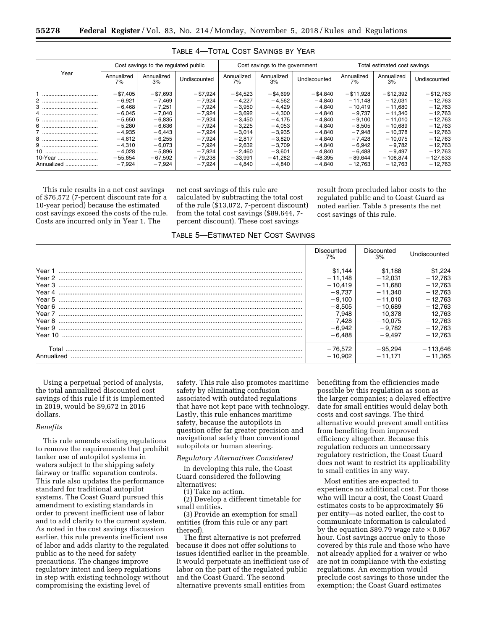|            | Cost savings to the regulated public |                  |              | Cost savings to the government |                  |              | Total estimated cost savings |                  |              |
|------------|--------------------------------------|------------------|--------------|--------------------------------|------------------|--------------|------------------------------|------------------|--------------|
| Year       | Annualized<br>7%                     | Annualized<br>3% | Undiscounted | Annualized<br>7%               | Annualized<br>3% | Undiscounted | Annualized<br>7%             | Annualized<br>3% | Undiscounted |
|            | $- $7,405$                           | $- $7,693$       | $- $7,924$   | $- $4,523$                     | $-$ \$4,699      | $-$ \$4,840  | $- $11,928$                  | $-$ \$12,392     | $- $12,763$  |
|            | $-6,921$                             | $-7,469$         | $-7,924$     | $-4,227$                       | $-4,562$         | $-4.840$     | $-11.148$                    | $-12.031$        | $-12.763$    |
|            | $-6.468$                             | $-7,251$         | $-7,924$     | $-3,950$                       | $-4.429$         | $-4.840$     | $-10.419$                    | $-11.680$        | $-12.763$    |
|            | $-6,045$                             | $-7,040$         | $-7,924$     | $-3,692$                       | $-4,300$         | $-4.840$     | $-9.737$                     | $-11.340$        | $-12.763$    |
|            | $-5,650$                             | $-6,835$         | $-7.924$     | $-3,450$                       | $-4.175$         | $-4.840$     | $-9.100$                     | $-11.010$        | $-12.763$    |
|            | $-5,280$                             | $-6,636$         | $-7,924$     | $-3,225$                       | $-4,053$         | $-4.840$     | $-8,505$                     | $-10.689$        | $-12.763$    |
|            | $-4,935$                             | $-6,443$         | $-7,924$     | $-3,014$                       | $-3,935$         | $-4.840$     | $-7,948$                     | $-10.378$        | $-12,763$    |
|            | $-4,612$                             | $-6,255$         | $-7,924$     | $-2,817$                       | $-3,820$         | $-4.840$     | $-7,428$                     | $-10.075$        | $-12.763$    |
|            | $-4,310$                             | $-6,073$         | $-7,924$     | $-2,632$                       | $-3,709$         | $-4.840$     | $-6,942$                     | $-9.782$         | $-12.763$    |
|            | $-4,028$                             | $-5,896$         | $-7,924$     | $-2,460$                       | $-3,601$         | $-4,840$     | $-6,488$                     | $-9,497$         | $-12,763$    |
| 10-Year    | $-55,654$                            | $-67,592$        | $-79,238$    | $-33,991$                      | $-41.282$        | $-48.395$    | $-89.644$                    | $-108.874$       | $-127,633$   |
| Annualized | $-7,924$                             | $-7,924$         | $-7,924$     | $-4,840$                       | $-4.840$         | $-4.840$     | $-12.763$                    | $-12.763$        | $-12,763$    |

## TABLE 4—TOTAL COST SAVINGS BY YEAR

This rule results in a net cost savings of \$76,572 (7-percent discount rate for a 10-year period) because the estimated cost savings exceed the costs of the rule. Costs are incurred only in Year 1. The

net cost savings of this rule are calculated by subtracting the total cost of the rule (\$13,072, 7-percent discount) from the total cost savings (\$89,644, 7 percent discount). These cost savings

result from precluded labor costs to the regulated public and to Coast Guard as noted earlier. Table 5 presents the net cost savings of this rule.

| TABLE 5—ESTIMATED NET COST SAVINGS |  |  |
|------------------------------------|--|--|
|                                    |  |  |

|                     | Discounted<br>7%       | Discounted<br>3%       | Undiscounted            |
|---------------------|------------------------|------------------------|-------------------------|
| Year 1              | \$1.144<br>$-11.148$   | \$1.188<br>$-12.031$   | \$1,224<br>$-12,763$    |
| Year 3              | $-10.419$              | $-11.680$              | $-12,763$               |
| Year 4              | $-9.737$<br>$-9,100$   | $-11.340$<br>$-11.010$ | $-12.763$<br>$-12,763$  |
|                     | $-8,505$               | $-10.689$              | $-12,763$               |
| Year 8              | $-7.948$<br>$-7,428$   | $-10.378$<br>$-10,075$ | $-12,763$<br>$-12,763$  |
| Year 9              | $-6,942$               | $-9.782$               | $-12.763$               |
|                     | $-6.488$               | $-9.497$               | $-12,763$               |
| Total<br>Annualized | $-76,572$<br>$-10.902$ | $-95.294$<br>$-11.171$ | $-113,646$<br>$-11.365$ |

Using a perpetual period of analysis, the total annualized discounted cost savings of this rule if it is implemented in 2019, would be \$9,672 in 2016 dollars.

## *Benefits*

This rule amends existing regulations to remove the requirements that prohibit tanker use of autopilot systems in waters subject to the shipping safety fairway or traffic separation controls. This rule also updates the performance standard for traditional autopilot systems. The Coast Guard pursued this amendment to existing standards in order to prevent inefficient use of labor and to add clarity to the current system. As noted in the cost savings discussion earlier, this rule prevents inefficient use of labor and adds clarity to the regulated public as to the need for safety precautions. The changes improve regulatory intent and keep regulations in step with existing technology without compromising the existing level of

safety. This rule also promotes maritime safety by eliminating confusion associated with outdated regulations that have not kept pace with technology. Lastly, this rule enhances maritime safety, because the autopilots in question offer far greater precision and navigational safety than conventional autopilots or human steering.

*Regulatory Alternatives Considered* 

In developing this rule, the Coast Guard considered the following alternatives:

(1) Take no action.

(2) Develop a different timetable for small entities.

(3) Provide an exemption for small entities (from this rule or any part thereof).

The first alternative is not preferred because it does not offer solutions to issues identified earlier in the preamble. It would perpetuate an inefficient use of labor on the part of the regulated public and the Coast Guard. The second alternative prevents small entities from

benefiting from the efficiencies made possible by this regulation as soon as the larger companies; a delayed effective date for small entities would delay both costs and cost savings. The third alternative would prevent small entities from benefiting from improved efficiency altogether. Because this regulation reduces an unnecessary regulatory restriction, the Coast Guard does not want to restrict its applicability to small entities in any way.

Most entities are expected to experience no additional cost. For those who will incur a cost, the Coast Guard estimates costs to be approximately \$6 per entity—as noted earlier, the cost to communicate information is calculated by the equation \$89.79 wage rate  $\times$  0.067 hour. Cost savings accrue only to those covered by this rule and those who have not already applied for a waiver or who are not in compliance with the existing regulations. An exemption would preclude cost savings to those under the exemption; the Coast Guard estimates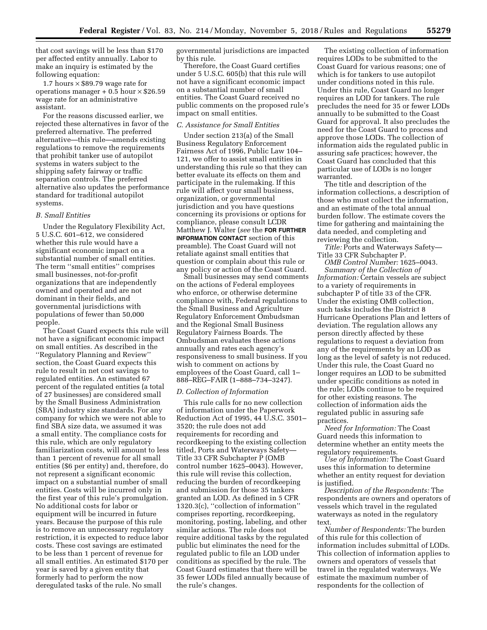that cost savings will be less than \$170 per affected entity annually. Labor to make an inquiry is estimated by the following equation:

1.7 hours  $\times$  \$89.79 wage rate for operations manager  $+0.5$  hour  $\times$  \$26.59 wage rate for an administrative assistant.

For the reasons discussed earlier, we rejected these alternatives in favor of the preferred alternative. The preferred alternative—this rule—amends existing regulations to remove the requirements that prohibit tanker use of autopilot systems in waters subject to the shipping safety fairway or traffic separation controls. The preferred alternative also updates the performance standard for traditional autopilot systems.

#### *B. Small Entities*

Under the Regulatory Flexibility Act, 5 U.S.C. 601–612, we considered whether this rule would have a significant economic impact on a substantial number of small entities. The term ''small entities'' comprises small businesses, not-for-profit organizations that are independently owned and operated and are not dominant in their fields, and governmental jurisdictions with populations of fewer than 50,000 people.

The Coast Guard expects this rule will not have a significant economic impact on small entities. As described in the ''Regulatory Planning and Review'' section, the Coast Guard expects this rule to result in net cost savings to regulated entities. An estimated 67 percent of the regulated entities (a total of 27 businesses) are considered small by the Small Business Administration (SBA) industry size standards. For any company for which we were not able to find SBA size data, we assumed it was a small entity. The compliance costs for this rule, which are only regulatory familiarization costs, will amount to less than 1 percent of revenue for all small entities (\$6 per entity) and, therefore, do not represent a significant economic impact on a substantial number of small entities. Costs will be incurred only in the first year of this rule's promulgation. No additional costs for labor or equipment will be incurred in future years. Because the purpose of this rule is to remove an unnecessary regulatory restriction, it is expected to reduce labor costs. These cost savings are estimated to be less than 1 percent of revenue for all small entities. An estimated \$170 per year is saved by a given entity that formerly had to perform the now deregulated tasks of the rule. No small

governmental jurisdictions are impacted by this rule.

Therefore, the Coast Guard certifies under 5 U.S.C. 605(b) that this rule will not have a significant economic impact on a substantial number of small entities. The Coast Guard received no public comments on the proposed rule's impact on small entities.

## *C. Assistance for Small Entities*

Under section 213(a) of the Small Business Regulatory Enforcement Fairness Act of 1996, Public Law 104– 121, we offer to assist small entities in understanding this rule so that they can better evaluate its effects on them and participate in the rulemaking. If this rule will affect your small business, organization, or governmental jurisdiction and you have questions concerning its provisions or options for compliance, please consult LCDR Matthew J. Walter (*see* the **FOR FURTHER INFORMATION CONTACT** section of this preamble). The Coast Guard will not retaliate against small entities that question or complain about this rule or any policy or action of the Coast Guard.

Small businesses may send comments on the actions of Federal employees who enforce, or otherwise determine compliance with, Federal regulations to the Small Business and Agriculture Regulatory Enforcement Ombudsman and the Regional Small Business Regulatory Fairness Boards. The Ombudsman evaluates these actions annually and rates each agency's responsiveness to small business. If you wish to comment on actions by employees of the Coast Guard, call 1– 888–REG–FAIR (1–888–734–3247).

## *D. Collection of Information*

This rule calls for no new collection of information under the Paperwork Reduction Act of 1995, 44 U.S.C. 3501– 3520; the rule does not add requirements for recording and recordkeeping to the existing collection titled, Ports and Waterways Safety— Title 33 CFR Subchapter P (OMB control number 1625–0043). However, this rule will revise this collection, reducing the burden of recordkeeping and submission for those 35 tankers granted an LOD. As defined in 5 CFR 1320.3(c), ''collection of information'' comprises reporting, recordkeeping, monitoring, posting, labeling, and other similar actions. The rule does not require additional tasks by the regulated public but eliminates the need for the regulated public to file an LOD under conditions as specified by the rule. The Coast Guard estimates that there will be 35 fewer LODs filed annually because of the rule's changes.

The existing collection of information requires LODs to be submitted to the Coast Guard for various reasons; one of which is for tankers to use autopilot under conditions noted in this rule. Under this rule, Coast Guard no longer requires an LOD for tankers. The rule precludes the need for 35 or fewer LODs annually to be submitted to the Coast Guard for approval. It also precludes the need for the Coast Guard to process and approve those LODs. The collection of information aids the regulated public in assuring safe practices; however, the Coast Guard has concluded that this particular use of LODs is no longer warranted.

The title and description of the information collections, a description of those who must collect the information, and an estimate of the total annual burden follow. The estimate covers the time for gathering and maintaining the data needed, and completing and reviewing the collection.

*Title:* Ports and Waterways Safety— Title 33 CFR Subchapter P.

*OMB Control Number:* 1625–0043. *Summary of the Collection of Information:* Certain vessels are subject to a variety of requirements in subchapter P of title 33 of the CFR. Under the existing OMB collection, such tasks includes the District 8 Hurricane Operations Plan and letters of deviation. The regulation allows any person directly affected by these regulations to request a deviation from any of the requirements by an LOD as long as the level of safety is not reduced. Under this rule, the Coast Guard no longer requires an LOD to be submitted under specific conditions as noted in the rule; LODs continue to be required for other existing reasons. The collection of information aids the regulated public in assuring safe practices.

*Need for Information:* The Coast Guard needs this information to determine whether an entity meets the regulatory requirements.

*Use of Information:* The Coast Guard uses this information to determine whether an entity request for deviation is justified.

*Description of the Respondents:* The respondents are owners and operators of vessels which travel in the regulated waterways as noted in the regulatory text.

*Number of Respondents:* The burden of this rule for this collection of information includes submittal of LODs. This collection of information applies to owners and operators of vessels that travel in the regulated waterways. We estimate the maximum number of respondents for the collection of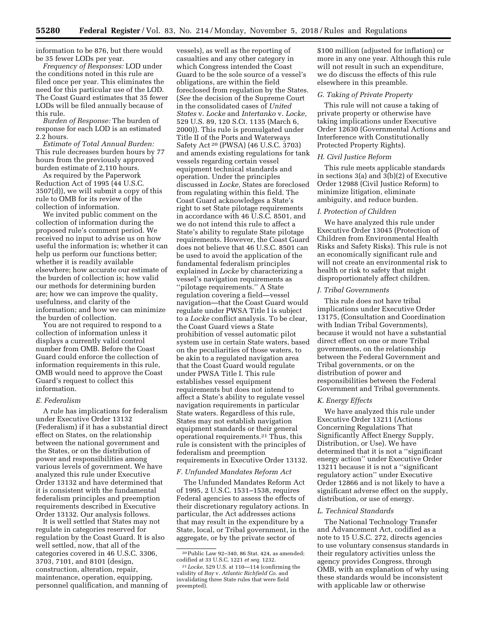information to be 876, but there would be 35 fewer LODs per year.

*Frequency of Responses:* LOD under the conditions noted in this rule are filed once per year. This eliminates the need for this particular use of the LOD. The Coast Guard estimates that 35 fewer LODs will be filed annually because of this rule.

*Burden of Response:* The burden of response for each LOD is an estimated 2.2 hours.

*Estimate of Total Annual Burden:*  This rule decreases burden hours by 77 hours from the previously approved burden estimate of 2,110 hours.

As required by the Paperwork Reduction Act of 1995 (44 U.S.C. 3507(d)), we will submit a copy of this rule to OMB for its review of the collection of information.

We invited public comment on the collection of information during the proposed rule's comment period. We received no input to advise us on how useful the information is; whether it can help us perform our functions better; whether it is readily available elsewhere; how accurate our estimate of the burden of collection is; how valid our methods for determining burden are; how we can improve the quality, usefulness, and clarity of the information; and how we can minimize the burden of collection.

You are not required to respond to a collection of information unless it displays a currently valid control number from OMB. Before the Coast Guard could enforce the collection of information requirements in this rule, OMB would need to approve the Coast Guard's request to collect this information.

#### *E. Federalism*

A rule has implications for federalism under Executive Order 13132 (Federalism) if it has a substantial direct effect on States, on the relationship between the national government and the States, or on the distribution of power and responsibilities among various levels of government. We have analyzed this rule under Executive Order 13132 and have determined that it is consistent with the fundamental federalism principles and preemption requirements described in Executive Order 13132. Our analysis follows.

It is well settled that States may not regulate in categories reserved for regulation by the Coast Guard. It is also well settled, now, that all of the categories covered in 46 U.S.C. 3306, 3703, 7101, and 8101 (design, construction, alteration, repair, maintenance, operation, equipping, personnel qualification, and manning of

vessels), as well as the reporting of casualties and any other category in which Congress intended the Coast Guard to be the sole source of a vessel's obligations, are within the field foreclosed from regulation by the States. (*See* the decision of the Supreme Court in the consolidated cases of *United States* v. *Locke* and *Intertanko* v. *Locke,*  529 U.S. 89, 120 S.Ct. 1135 (March 6, 2000)). This rule is promulgated under Title II of the Ports and Waterways Safety Act 20 (PWSA) (46 U.S.C. 3703) and amends existing regulations for tank vessels regarding certain vessel equipment technical standards and operation. Under the principles discussed in *Locke,* States are foreclosed from regulating within this field. The Coast Guard acknowledges a State's right to set State pilotage requirements in accordance with 46 U.S.C. 8501, and we do not intend this rule to affect a State's ability to regulate State pilotage requirements. However, the Coast Guard does not believe that 46 U.S.C. 8501 can be used to avoid the application of the fundamental federalism principles explained in *Locke* by characterizing a vessel's navigation requirements as ''pilotage requirements.'' A State regulation covering a field—vessel navigation—that the Coast Guard would regulate under PWSA Title I is subject to a *Locke* conflict analysis. To be clear, the Coast Guard views a State prohibition of vessel automatic pilot system use in certain State waters, based on the peculiarities of those waters, to be akin to a regulated navigation area that the Coast Guard would regulate under PWSA Title I. This rule establishes vessel equipment requirements but does not intend to affect a State's ability to regulate vessel navigation requirements in particular State waters. Regardless of this rule, States may not establish navigation equipment standards or their general operational requirements.21 Thus, this rule is consistent with the principles of federalism and preemption requirements in Executive Order 13132.

#### *F. Unfunded Mandates Reform Act*

The Unfunded Mandates Reform Act of 1995, 2 U.S.C. 1531–1538, requires Federal agencies to assess the effects of their discretionary regulatory actions. In particular, the Act addresses actions that may result in the expenditure by a State, local, or Tribal government, in the aggregate, or by the private sector of

\$100 million (adjusted for inflation) or more in any one year. Although this rule will not result in such an expenditure, we do discuss the effects of this rule elsewhere in this preamble.

## *G. Taking of Private Property*

This rule will not cause a taking of private property or otherwise have taking implications under Executive Order 12630 (Governmental Actions and Interference with Constitutionally Protected Property Rights).

## *H. Civil Justice Reform*

This rule meets applicable standards in sections 3(a) and 3(b)(2) of Executive Order 12988 (Civil Justice Reform) to minimize litigation, eliminate ambiguity, and reduce burden.

## *I. Protection of Children*

We have analyzed this rule under Executive Order 13045 (Protection of Children from Environmental Health Risks and Safety Risks). This rule is not an economically significant rule and will not create an environmental risk to health or risk to safety that might disproportionately affect children.

#### *J. Tribal Governments*

This rule does not have tribal implications under Executive Order 13175, (Consultation and Coordination with Indian Tribal Governments), because it would not have a substantial direct effect on one or more Tribal governments, on the relationship between the Federal Government and Tribal governments, or on the distribution of power and responsibilities between the Federal Government and Tribal governments.

#### *K. Energy Effects*

We have analyzed this rule under Executive Order 13211 (Actions Concerning Regulations That Significantly Affect Energy Supply, Distribution, or Use). We have determined that it is not a ''significant energy action'' under Executive Order 13211 because it is not a ''significant regulatory action'' under Executive Order 12866 and is not likely to have a significant adverse effect on the supply, distribution, or use of energy.

## *L. Technical Standards*

The National Technology Transfer and Advancement Act, codified as a note to 15 U.S.C. 272, directs agencies to use voluntary consensus standards in their regulatory activities unless the agency provides Congress, through OMB, with an explanation of why using these standards would be inconsistent with applicable law or otherwise

<sup>20</sup>Public Law 92–340, 86 Stat. 424, as amended; codified at 33 U.S.C. 1221 *et seq.* 1232.

<sup>21</sup> *Locke,* 529 U.S. at 110—114 (confirming the validity of *Ray* v. *Atlantic Richfield Co.* and invalidating three State rules that were field preempted).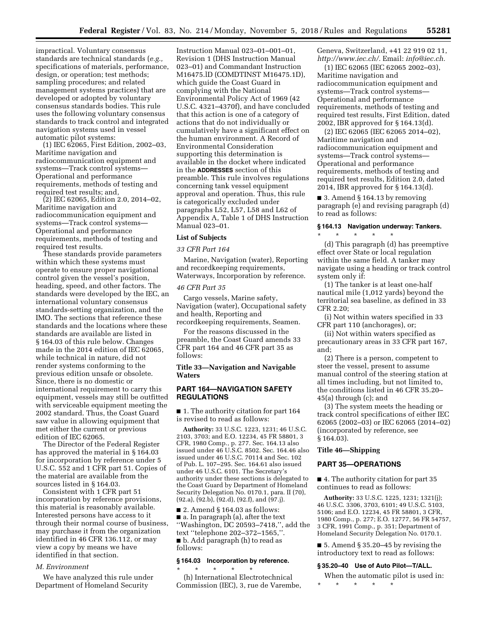impractical. Voluntary consensus standards are technical standards (*e.g.,*  specifications of materials, performance, design, or operation; test methods; sampling procedures; and related management systems practices) that are developed or adopted by voluntary consensus standards bodies. This rule uses the following voluntary consensus standards to track control and integrated navigation systems used in vessel automatic pilot systems:

(1) IEC 62065, First Edition, 2002–03, Maritime navigation and radiocommunication equipment and systems—Track control systems— Operational and performance requirements, methods of testing and required test results; and,

(2) IEC 62065, Edition 2.0, 2014–02, Maritime navigation and radiocommunication equipment and systems—Track control systems— Operational and performance requirements, methods of testing and required test results.

These standards provide parameters within which these systems must operate to ensure proper navigational control given the vessel's position, heading, speed, and other factors. The standards were developed by the IEC, an international voluntary consensus standards-setting organization, and the IMO. The sections that reference these standards and the locations where these standards are available are listed in § 164.03 of this rule below. Changes made in the 2014 edition of IEC 62065, while technical in nature, did not render systems conforming to the previous edition unsafe or obsolete. Since, there is no domestic or international requirement to carry this equipment, vessels may still be outfitted with serviceable equipment meeting the 2002 standard. Thus, the Coast Guard saw value in allowing equipment that met either the current or previous edition of IEC 62065.

The Director of the Federal Register has approved the material in § 164.03 for incorporation by reference under 5 U.S.C. 552 and 1 CFR part 51. Copies of the material are available from the sources listed in § 164.03.

Consistent with 1 CFR part 51 incorporation by reference provisions, this material is reasonably available. Interested persons have access to it through their normal course of business, may purchase it from the organization identified in 46 CFR 136.112, or may view a copy by means we have identified in that section.

## *M. Environment*

We have analyzed this rule under Department of Homeland Security

Instruction Manual 023–01–001–01, Revision 1 (DHS Instruction Manual 023–01) and Commandant Instruction M16475.lD (COMDTINST M16475.1D), which guide the Coast Guard in complying with the National Environmental Policy Act of 1969 (42 U.S.C. 4321–4370f), and have concluded that this action is one of a category of actions that do not individually or cumulatively have a significant effect on the human environment. A Record of Environmental Consideration supporting this determination is available in the docket where indicated in the **ADDRESSES** section of this preamble. This rule involves regulations concerning tank vessel equipment approval and operation. Thus, this rule is categorically excluded under paragraphs L52, L57, L58 and L62 of Appendix A, Table 1 of DHS Instruction Manual 023–01.

#### **List of Subjects**

#### *33 CFR Part 164*

Marine, Navigation (water), Reporting and recordkeeping requirements, Waterways, Incorporation by reference.

#### *46 CFR Part 35*

Cargo vessels, Marine safety, Navigation (water), Occupational safety and health, Reporting and recordkeeping requirements, Seamen.

For the reasons discussed in the preamble, the Coast Guard amends 33 CFR part 164 and 46 CFR part 35 as follows:

## **Title 33—Navigation and Navigable Waters**

## **PART 164—NAVIGATION SAFETY REGULATIONS**

■ 1. The authority citation for part 164 is revised to read as follows:

**Authority:** 33 U.S.C. 1223, 1231; 46 U.S.C. 2103, 3703; and E.O. 12234, 45 FR 58801, 3 CFR, 1980 Comp., p. 277. Sec. 164.13 also issued under 46 U.S.C. 8502. Sec. 164.46 also issued under 46 U.S.C. 70114 and Sec. 102 of Pub. L. 107–295. Sec. 164.61 also issued under 46 U.S.C. 6101. The Secretary's authority under these sections is delegated to the Coast Guard by Department of Homeland Security Delegation No. 0170.1, para. II (70),  $(92.a)$ ,  $(92.b)$ ,  $(92.d)$ ,  $(92.f)$ , and  $(97.j)$ .

 $\blacksquare$  2. Amend § 164.03 as follows: ■ a. In paragraph (a), after the text ''Washington, DC 20593–7418,'', add the text ''telephone 202–372–1565,''. ■ b. Add paragraph (h) to read as follows:

### **§ 164.03 Incorporation by reference.**

\* \* \* \* \* (h) International Electrotechnical Commission (IEC), 3, rue de Varembe, Geneva, Switzerland, +41 22 919 02 11, *[http://www.iec.ch/.](http://www.iec.ch/)* Email: *[info@iec.ch.](mailto:info@iec.ch)* 

(1) IEC 62065 (IEC 62065 2002–03), Maritime navigation and radiocommunication equipment and systems—Track control systems— Operational and performance requirements, methods of testing and required test results, First Edition, dated 2002, IBR approved for § 164.13(d).

(2) IEC 62065 (IEC 62065 2014–02), Maritime navigation and radiocommunication equipment and systems—Track control systems— Operational and performance requirements, methods of testing and required test results, Edition 2.0, dated 2014, IBR approved for § 164.13(d).

■ 3. Amend § 164.13 by removing paragraph (e) and revising paragraph (d) to read as follows:

# **§ 164.13 Navigation underway: Tankers.**  \* \* \* \* \*

(d) This paragraph (d) has preemptive effect over State or local regulation within the same field. A tanker may navigate using a heading or track control system only if:

(1) The tanker is at least one-half nautical mile (1,012 yards) beyond the territorial sea baseline, as defined in 33 CFR 2.20;

(i) Not within waters specified in 33 CFR part 110 (anchorages), or;

(ii) Not within waters specified as precautionary areas in 33 CFR part 167, and;

(2) There is a person, competent to steer the vessel, present to assume manual control of the steering station at all times including, but not limited to, the conditions listed in 46 CFR 35.20– 45(a) through (c); and

(3) The system meets the heading or track control specifications of either IEC 62065 (2002–03) or IEC 62065 (2014–02) (incorporated by reference, see § 164.03).

#### **Title 46—Shipping**

## **PART 35—OPERATIONS**

■ 4. The authority citation for part 35 continues to read as follows:

**Authority:** 33 U.S.C. 1225, 1231; 1321(j); 46 U.S.C. 3306, 3703, 6101; 49 U.S.C. 5103, 5106; and E.O. 12234, 45 FR 58801, 3 CFR, 1980 Comp., p. 277; E.O. 12777, 56 FR 54757, 3 CFR, 1991 Comp., p. 351; Department of Homeland Security Delegation No. 0170.1.

■ 5. Amend § 35.20–45 by revising the introductory text to read as follows:

#### **§ 35.20–40 Use of Auto Pilot—T/ALL.**

When the automatic pilot is used in: \* \* \* \* \*